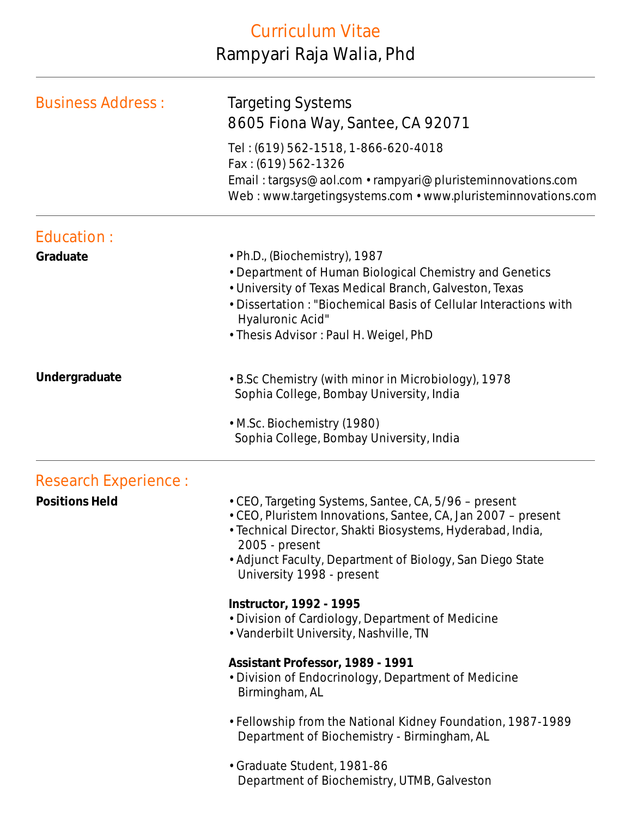## Curriculum Vitae Rampyari Raja Walia, Phd

| <b>Business Address:</b> | <b>Targeting Systems</b>                                                                                                                                                                                                                                                                       |
|--------------------------|------------------------------------------------------------------------------------------------------------------------------------------------------------------------------------------------------------------------------------------------------------------------------------------------|
|                          | 8605 Fiona Way, Santee, CA 92071<br>Tel: (619) 562-1518, 1-866-620-4018<br>Fax: (619) 562-1326                                                                                                                                                                                                 |
|                          | Email: targsys@aol.com • rampyari@pluristeminnovations.com<br>Web: www.targetingsystems.com • www.pluristeminnovations.com                                                                                                                                                                     |
| Education:               |                                                                                                                                                                                                                                                                                                |
| Graduate                 | • Ph.D., (Biochemistry), 1987<br>• Department of Human Biological Chemistry and Genetics<br>• University of Texas Medical Branch, Galveston, Texas<br>• Dissertation: "Biochemical Basis of Cellular Interactions with<br>Hyaluronic Acid"<br>• Thesis Advisor: Paul H. Weigel, PhD            |
| Undergraduate            | • B.Sc Chemistry (with minor in Microbiology), 1978<br>Sophia College, Bombay University, India                                                                                                                                                                                                |
|                          | • M.Sc. Biochemistry (1980)<br>Sophia College, Bombay University, India                                                                                                                                                                                                                        |
| Research Experience :    |                                                                                                                                                                                                                                                                                                |
| <b>Positions Held</b>    | • CEO, Targeting Systems, Santee, CA, 5/96 - present<br>• CEO, Pluristem Innovations, Santee, CA, Jan 2007 - present<br>· Technical Director, Shakti Biosystems, Hyderabad, India,<br>2005 - present<br>• Adjunct Faculty, Department of Biology, San Diego State<br>University 1998 - present |
|                          | Instructor, 1992 - 1995<br>• Division of Cardiology, Department of Medicine<br>• Vanderbilt University, Nashville, TN                                                                                                                                                                          |
|                          | Assistant Professor, 1989 - 1991<br>• Division of Endocrinology, Department of Medicine<br>Birmingham, AL                                                                                                                                                                                      |
|                          | • Fellowship from the National Kidney Foundation, 1987-1989<br>Department of Biochemistry - Birmingham, AL                                                                                                                                                                                     |
|                          | · Graduate Student, 1981-86<br>Department of Biochemistry, UTMB, Galveston                                                                                                                                                                                                                     |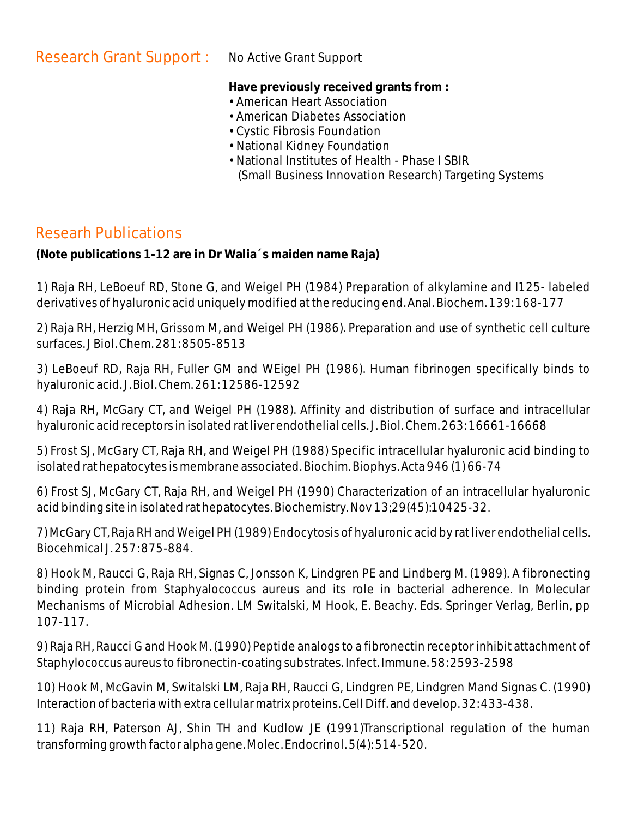**Have previously received grants from :**

- American Heart Association
- American Diabetes Association
- Cystic Fibrosis Foundation
- National Kidney Foundation
- National Institutes of Health Phase I SBIR (Small Business Innovation Research) Targeting Systems

## Researh Publications

**(Note publications 1-12 are in Dr Walia´s maiden name Raja)**

1) Raja RH, LeBoeuf RD, Stone G, and Weigel PH (1984) Preparation of alkylamine and I125- labeled derivatives of hyaluronic acid uniquely modified at the reducing end. Anal. Biochem. 139: 168-177

2) Raja RH, Herzig MH, Grissom M, and Weigel PH (1986). Preparation and use of synthetic cell culture surfaces. J Biol. Chem. 281: 8505-8513

3) LeBoeuf RD, Raja RH, Fuller GM and WEigel PH (1986). Human fibrinogen specifically binds to hyaluronic acid. J. Biol. Chem. 261: 12586-12592

4) Raja RH, McGary CT, and Weigel PH (1988). Affinity and distribution of surface and intracellular hyaluronic acid receptors in isolated rat liver endothelial cells. J. Biol. Chem. 263: 16661-16668

5) Frost SJ, McGary CT, Raja RH, and Weigel PH (1988) Specific intracellular hyaluronic acid binding to isolated rat hepatocytes is membrane associated. Biochim. Biophys. Acta 946 (1) 66-74

6) Frost SJ, McGary CT, Raja RH, and Weigel PH (1990) Characterization of an intracellular hyaluronic acid binding site in isolated rat hepatocytes. Biochemistry. Nov 13;29(45):10425-32.

7) McGary CT, Raja RH and Weigel PH (1989) Endocytosis of hyaluronic acid by rat liver endothelial cells. Biocehmical J. 257: 875-884.

8) Hook M, Raucci G, Raja RH, Signas C, Jonsson K, Lindgren PE and Lindberg M. (1989). A fibronecting binding protein from Staphyalococcus aureus and its role in bacterial adherence. In Molecular Mechanisms of Microbial Adhesion. LM Switalski, M Hook, E. Beachy. Eds. Springer Verlag, Berlin, pp 107-117.

9) Raja RH, Raucci G and Hook M. (1990) Peptide analogs to a fibronectin receptor inhibit attachment of Staphylococcus aureus to fibronectin-coating substrates. Infect. Immune. 58: 2593-2598

10) Hook M, McGavin M, Switalski LM, Raja RH, Raucci G, Lindgren PE, Lindgren Mand Signas C. (1990) Interaction of bacteria with extra cellular matrix proteins. Cell Diff. and develop. 32: 433-438.

11) Raja RH, Paterson AJ, Shin TH and Kudlow JE (1991)Transcriptional regulation of the human transforming growth factor alpha gene. Molec. Endocrinol. 5(4): 514-520.